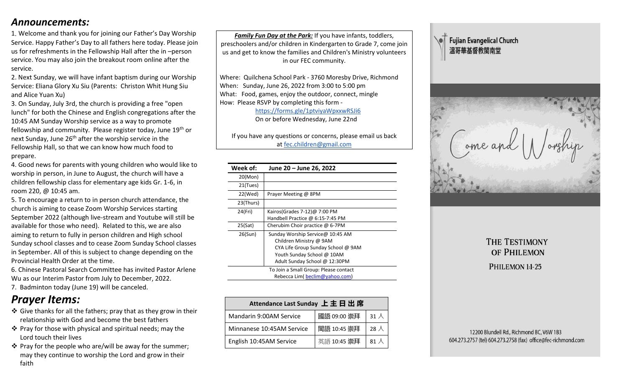# *Announcements:*

1. Welcome and thank you for joining our Father's Day Worship Service. Happy Father's Day to all fathers here today. Please join us for refreshments in the Fellowship Hall after the in –person service. You may also join the breakout room online after the service.

2. Next Sunday, we will have infant baptism during our Worship Service: Eliana Glory Xu Siu (Parents: Christon Whit Hung Siu and Alice Yuan Xu)

3. On Sunday, July 3rd, the church is providing a free "open lunch" for both the Chinese and English congregations after the 10:45 AM Sunday Worship service as a way to promote fellowship and community. Please register today, June  $19<sup>th</sup>$  or next Sunday, June  $26<sup>th</sup>$  after the worship service in the Fellowship Hall, so that we can know how much food to prepare.

4. Good news for parents with young children who would like to worship in person, in June to August, the church will have a children fellowship class for elementary age kids Gr. 1-6, in room 220, @ 10:45 am.

5. To encourage a return to in person church attendance, the church is aiming to cease Zoom Worship Services starting September 2022 (although live-stream and Youtube will still be available for those who need). Related to this, we are also aiming to return to fully in person children and High school Sunday school classes and to cease Zoom Sunday School classes in September. All of this is subject to change depending on the Provincial Health Order at the time.

6. Chinese Pastoral Search Committee has invited Pastor Arlene Wu as our Interim Pastor from July to December, 2022.

7. Badminton today (June 19) will be canceled.

# *Prayer Items:*

- ❖ Give thanks for all the fathers; pray that as they grow in their relationship with God and become the best fathers
- ❖ Pray for those with physical and spiritual needs; may the Lord touch their lives
- ❖ Pray for the people who are/will be away for the summer; may they continue to worship the Lord and grow in their faith

*Family Fun Day at the Park:* If you have infants, toddlers, preschoolers and/or children in Kindergarten to Grade 7, come join us and get to know the families and Children's Ministry volunteers in our FEC community.

Where: Quilchena School Park - 3760 Moresby Drive, Richmond When: Sunday, June 26, 2022 from 3:00 to 5:00 pm What: Food, games, enjoy the outdoor, connect, mingle How: Please RSVP by completing this form -

 <https://forms.gle/1ptviyaWpxxwRSJi6> On or before Wednesday, June 22nd

If you have any questions or concerns, please email us back at [fec.children@gmail.com](mailto:fec.children@gmail.com)

| Week of:  | June 20 – June 26, 2022                                                                                                                                          |
|-----------|------------------------------------------------------------------------------------------------------------------------------------------------------------------|
| 20(Mon)   |                                                                                                                                                                  |
| 21(Tues)  |                                                                                                                                                                  |
| 22(Wed)   | Prayer Meeting @ 8PM                                                                                                                                             |
| 23(Thurs) |                                                                                                                                                                  |
| 24(Fri)   | Kairos(Grades 7-12) $@$ 7:00 PM<br>Handbell Practice @ 6:15-7:45 PM                                                                                              |
| 25(Sat)   | Cherubim Choir practice @ 6-7PM                                                                                                                                  |
| 26(Sun)   | Sunday Worship Service@ 10:45 AM<br>Children Ministry @ 9AM<br>CYA Life Group Sunday School @ 9AM<br>Youth Sunday School @ 10AM<br>Adult Sunday School @ 12:30PM |
|           | To Join a Small Group: Please contact<br>Rebecca Lim( beclim@yahoo.com)                                                                                          |

| Attendance Last Sunday 上主日出席 |             |              |  |
|------------------------------|-------------|--------------|--|
| Mandarin 9:00AM Service      | 國語 09:00 崇拜 | 31 $\lambda$ |  |
| Minnanese 10:45AM Service    | 閩語 10:45 崇拜 | 28 $\lambda$ |  |
| English 10:45AM Service      | 英語 10:45 崇拜 | 81 $\lambda$ |  |





# THE TESTIMONY OF PHILEMON PHILEMON 1:1-25

12200 Blundell Rd., Richmond BC, V6W 1B3 604.273.2757 (tel) 604.273.2758 (fax) office@fec-richmond.com